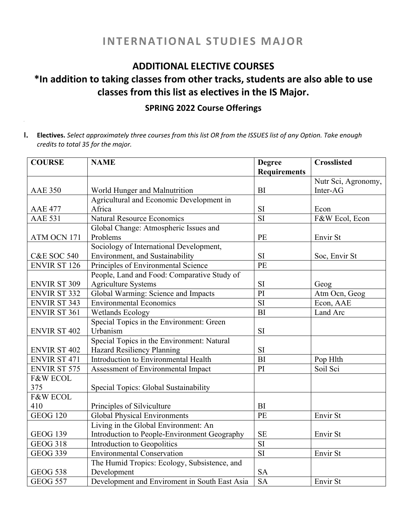## **INTERNATIONAL STUDIES MAJOR**

### **ADDITIONAL ELECTIVE COURSES**

# **\*In addition to taking classes from other tracks, students are also able to use classes from this list as electives in the IS Major.**

#### **SPRING 2022 Course Offerings**

I. Electives. Select approximately three courses from this list OR from the ISSUES list of any Option. Take enough *credits to total 35 for the major.*

| <b>COURSE</b>          | <b>NAME</b>                                   | <b>Degree</b>          | <b>Crosslisted</b>  |
|------------------------|-----------------------------------------------|------------------------|---------------------|
|                        |                                               | <b>Requirements</b>    |                     |
|                        |                                               |                        | Nutr Sci, Agronomy, |
| <b>AAE 350</b>         | World Hunger and Malnutrition                 | <b>BI</b>              | Inter-AG            |
|                        | Agricultural and Economic Development in      |                        |                     |
| <b>AAE 477</b>         | Africa                                        | SI                     | Econ                |
| <b>AAE 531</b>         | <b>Natural Resource Economics</b>             | $\overline{\text{SI}}$ | F&W Ecol, Econ      |
|                        | Global Change: Atmospheric Issues and         |                        |                     |
| ATM OCN 171            | Problems                                      | PE                     | Envir St            |
|                        | Sociology of International Development,       |                        |                     |
| <b>C&amp;E SOC 540</b> | Environment, and Sustainability               | SI                     | Soc, Envir St       |
| <b>ENVIR ST 126</b>    | Principles of Environmental Science           | PE                     |                     |
|                        | People, Land and Food: Comparative Study of   |                        |                     |
| <b>ENVIR ST 309</b>    | <b>Agriculture Systems</b>                    | SI                     | Geog                |
| <b>ENVIR ST 332</b>    | Global Warming: Science and Impacts           | $\overline{PI}$        | Atm Ocn, Geog       |
| <b>ENVIR ST 343</b>    | <b>Environmental Economics</b>                | $\overline{SI}$        | Econ, AAE           |
| <b>ENVIR ST 361</b>    | Wetlands Ecology                              | BI                     | Land Arc            |
|                        | Special Topics in the Environment: Green      |                        |                     |
| <b>ENVIR ST 402</b>    | Urbanism                                      | <b>SI</b>              |                     |
|                        | Special Topics in the Environment: Natural    |                        |                     |
| <b>ENVIR ST 402</b>    | Hazard Resiliency Planning                    | SI                     |                     |
| <b>ENVIR ST 471</b>    | Introduction to Environmental Health          | BI                     | Pop Hlth            |
| ENVIR ST 575           | Assessment of Environmental Impact            | PI                     | Soil Sci            |
| <b>F&amp;W ECOL</b>    |                                               |                        |                     |
| 375                    | Special Topics: Global Sustainability         |                        |                     |
| <b>F&amp;W ECOL</b>    |                                               |                        |                     |
| 410                    | Principles of Silviculture                    | <b>BI</b>              |                     |
| <b>GEOG 120</b>        | <b>Global Physical Environments</b>           | PE                     | Envir St            |
|                        | Living in the Global Environment: An          |                        |                     |
| <b>GEOG 139</b>        | Introduction to People-Environment Geography  | <b>SE</b>              | Envir St            |
| <b>GEOG 318</b>        | Introduction to Geopolitics                   | SI                     |                     |
| <b>GEOG 339</b>        | <b>Environmental Conservation</b>             | $\overline{SI}$        | Envir St            |
|                        | The Humid Tropics: Ecology, Subsistence, and  |                        |                     |
| <b>GEOG 538</b>        | Development                                   | <b>SA</b>              |                     |
| <b>GEOG 557</b>        | Development and Enviroment in South East Asia | <b>SA</b>              | Envir St            |